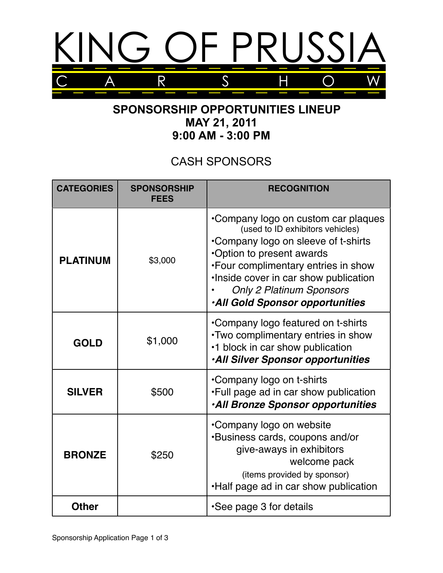

## **SPONSORSHIP OPPORTUNITIES LINEUP MAY 21, 2011 9:00 AM - 3:00 PM**

## CASH SPONSORS

| <b>CATEGORIES</b> | <b>SPONSORSHIP</b><br><b>FEES</b> | <b>RECOGNITION</b>                                                                                                                                                                                                                                                                                        |
|-------------------|-----------------------------------|-----------------------------------------------------------------------------------------------------------------------------------------------------------------------------------------------------------------------------------------------------------------------------------------------------------|
| <b>PLATINUM</b>   | \$3,000                           | •Company logo on custom car plaques<br>(used to ID exhibitors vehicles)<br>•Company logo on sleeve of t-shirts<br>•Option to present awards<br>•Four complimentary entries in show<br>. Inside cover in car show publication<br><b>Only 2 Platinum Sponsors</b><br><b>.All Gold Sponsor opportunities</b> |
| <b>GOLD</b>       | \$1,000                           | •Company logo featured on t-shirts<br>. Two complimentary entries in show<br>•1 block in car show publication<br>·All Silver Sponsor opportunities                                                                                                                                                        |
| <b>SILVER</b>     | \$500                             | •Company logo on t-shirts<br>. Full page ad in car show publication<br><b>.All Bronze Sponsor opportunities</b>                                                                                                                                                                                           |
| <b>BRONZE</b>     | \$250                             | •Company logo on website<br><b>.</b> Business cards, coupons and/or<br>give-aways in exhibitors<br>welcome pack<br>(items provided by sponsor)<br>.Half page ad in car show publication                                                                                                                   |
| <b>Other</b>      |                                   | •See page 3 for details                                                                                                                                                                                                                                                                                   |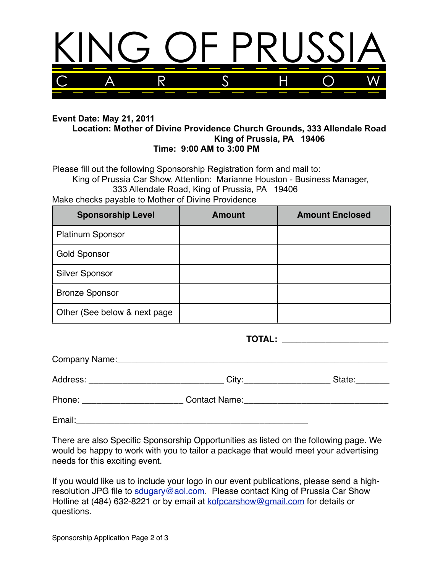

## **Event Date: May 21, 2011 Location: Mother of Divine Providence Church Grounds, 333 Allendale Road King of Prussia, PA 19406 Time: 9:00 AM to 3:00 PM**

Please fill out the following Sponsorship Registration form and mail to: King of Prussia Car Show, Attention: Marianne Houston - Business Manager, 333 Allendale Road, King of Prussia, PA 19406 Make checks payable to Mother of Divine Providence

| <b>Sponsorship Level</b>      | <b>Amount</b> | <b>Amount Enclosed</b> |
|-------------------------------|---------------|------------------------|
| <b>Platinum Sponsor</b>       |               |                        |
| <b>Gold Sponsor</b>           |               |                        |
| <b>Silver Sponsor</b>         |               |                        |
| <b>Bronze Sponsor</b>         |               |                        |
| Other (See below & next page) |               |                        |

|                                   | TOTAL: _______________________ |        |  |
|-----------------------------------|--------------------------------|--------|--|
|                                   |                                |        |  |
|                                   |                                | State: |  |
| Phone: __________________________ |                                |        |  |
| Email:                            |                                |        |  |

There are also Specific Sponsorship Opportunities as listed on the following page. We would be happy to work with you to tailor a package that would meet your advertising needs for this exciting event.

If you would like us to include your logo in our event publications, please send a highresolution JPG file to [sdugary@aol.com.](mailto:sdugary@aol.com) Please contact King of Prussia Car Show Hotline at (484) 632-8221 or by email at [kofpcarshow@gmail.com](mailto:billdugary5@aol.com) for details or questions.